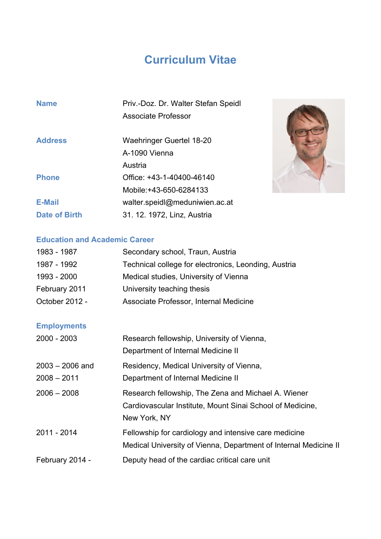## **Curriculum Vitae**

| <b>Name</b>          | Priv.-Doz. Dr. Walter Stefan Speidl |
|----------------------|-------------------------------------|
|                      | <b>Associate Professor</b>          |
| <b>Address</b>       | Waehringer Guertel 18-20            |
|                      | A-1090 Vienna                       |
|                      | Austria                             |
| <b>Phone</b>         | Office: +43-1-40400-46140           |
|                      | Mobile: +43-650-6284133             |
| <b>E-Mail</b>        | walter.speidl@meduniwien.ac.at      |
| <b>Date of Birth</b> | 31. 12. 1972, Linz, Austria         |



## **Education and Academic Career**

| 1983 - 1987        | Secondary school, Traun, Austria                                 |
|--------------------|------------------------------------------------------------------|
| 1987 - 1992        | Technical college for electronics, Leonding, Austria             |
| 1993 - 2000        | Medical studies, University of Vienna                            |
| February 2011      | University teaching thesis                                       |
| October 2012 -     | Associate Professor, Internal Medicine                           |
| <b>Employments</b> |                                                                  |
| 2000 - 2003        | Research fellowship, University of Vienna,                       |
|                    | Department of Internal Medicine II                               |
| $2003 - 2006$ and  | Residency, Medical University of Vienna,                         |
| $2008 - 2011$      | Department of Internal Medicine II                               |
| $2006 - 2008$      | Research fellowship, The Zena and Michael A. Wiener              |
|                    | Cardiovascular Institute, Mount Sinai School of Medicine,        |
|                    | New York, NY                                                     |
| 2011 - 2014        | Fellowship for cardiology and intensive care medicine            |
|                    | Medical University of Vienna, Department of Internal Medicine II |
| February 2014 -    | Deputy head of the cardiac critical care unit                    |
|                    |                                                                  |